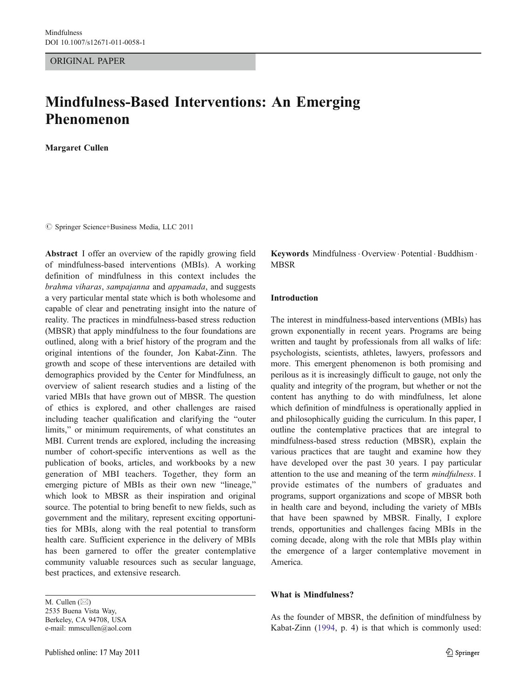ORIGINAL PAPER

# Mindfulness-Based Interventions: An Emerging Phenomenon

Margaret Cullen

 $\oslash$  Springer Science+Business Media, LLC 2011

Abstract I offer an overview of the rapidly growing field of mindfulness-based interventions (MBIs). A working definition of mindfulness in this context includes the brahma viharas, sampajanna and appamada, and suggests a very particular mental state which is both wholesome and capable of clear and penetrating insight into the nature of reality. The practices in mindfulness-based stress reduction (MBSR) that apply mindfulness to the four foundations are outlined, along with a brief history of the program and the original intentions of the founder, Jon Kabat-Zinn. The growth and scope of these interventions are detailed with demographics provided by the Center for Mindfulness, an overview of salient research studies and a listing of the varied MBIs that have grown out of MBSR. The question of ethics is explored, and other challenges are raised including teacher qualification and clarifying the "outer limits," or minimum requirements, of what constitutes an MBI. Current trends are explored, including the increasing number of cohort-specific interventions as well as the publication of books, articles, and workbooks by a new generation of MBI teachers. Together, they form an emerging picture of MBIs as their own new "lineage," which look to MBSR as their inspiration and original source. The potential to bring benefit to new fields, such as government and the military, represent exciting opportunities for MBIs, along with the real potential to transform health care. Sufficient experience in the delivery of MBIs has been garnered to offer the greater contemplative community valuable resources such as secular language, best practices, and extensive research.

Keywords Mindfulness . Overview. Potential . Buddhism . **MBSR** 

### Introduction

The interest in mindfulness-based interventions (MBIs) has grown exponentially in recent years. Programs are being written and taught by professionals from all walks of life: psychologists, scientists, athletes, lawyers, professors and more. This emergent phenomenon is both promising and perilous as it is increasingly difficult to gauge, not only the quality and integrity of the program, but whether or not the content has anything to do with mindfulness, let alone which definition of mindfulness is operationally applied in and philosophically guiding the curriculum. In this paper, I outline the contemplative practices that are integral to mindfulness-based stress reduction (MBSR), explain the various practices that are taught and examine how they have developed over the past 30 years. I pay particular attention to the use and meaning of the term mindfulness. I provide estimates of the numbers of graduates and programs, support organizations and scope of MBSR both in health care and beyond, including the variety of MBIs that have been spawned by MBSR. Finally, I explore trends, opportunities and challenges facing MBIs in the coming decade, along with the role that MBIs play within the emergence of a larger contemplative movement in America.

# What is Mindfulness?

As the founder of MBSR, the definition of mindfulness by Kabat-Zinn ([1994,](#page-7-0) p. 4) is that which is commonly used:

M. Cullen  $(\boxtimes)$ 2535 Buena Vista Way, Berkeley, CA 94708, USA e-mail: mmscullen@aol.com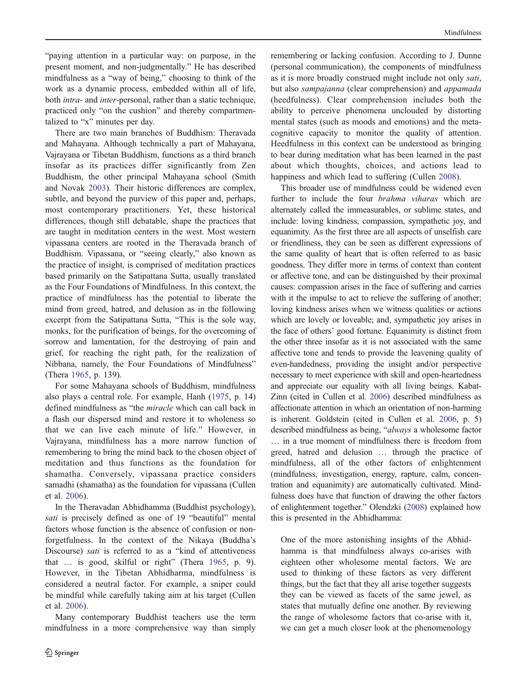"paying attention in a particular way: on purpose, in the present moment, and non-judgmentally." He has described mindfulness as a "way of being," choosing to think of the work as a dynamic process, embedded within all of life, both intra- and inter-personal, rather than a static technique, practiced only "on the cushion" and thereby compartmentalized to "x" minutes per day.

There are two main branches of Buddhism: Theravada and Mahayana. Although technically a part of Mahayana, Vajrayana or Tibetan Buddhism, functions as a third branch insofar as its practices differ significantly from Zen Buddhism, the other principal Mahayana school (Smith and Novak [2003](#page-7-0)). Their historic differences are complex, subtle, and beyond the purview of this paper and, perhaps, most contemporary practitioners. Yet, these historical differences, though still debatable, shape the practices that are taught in meditation centers in the west. Most western vipassana centers are rooted in the Theravada branch of Buddhism. Vipassana, or "seeing clearly," also known as the practice of insight, is comprised of meditation practices based primarily on the Satipattana Sutta, usually translated as the Four Foundations of Mindfulness. In this context, the practice of mindfulness has the potential to liberate the mind from greed, hatred, and delusion as in the following excerpt from the Satipattana Sutta, "This is the sole way, monks, for the purification of beings, for the overcoming of sorrow and lamentation, for the destroying of pain and grief, for reaching the right path, for the realization of Nibbana, namely, the Four Foundations of Mindfulness" (Thera [1965](#page-7-0), p. 139).

For some Mahayana schools of Buddhism, mindfulness also plays a central role. For example, Hanh ([1975,](#page-7-0) p. 14) defined mindfulness as "the miracle which can call back in a flash our dispersed mind and restore it to wholeness so that we can live each minute of life." However, in Vajrayana, mindfulness has a more narrow function of remembering to bring the mind back to the chosen object of meditation and thus functions as the foundation for shamatha. Conversely, vipassana practice considers samadhi (shamatha) as the foundation for vipassana (Cullen et al. [2006](#page-7-0)).

In the Theravadan Abhidhamma (Buddhist psychology), sati is precisely defined as one of 19 "beautiful" mental factors whose function is the absence of confusion or nonforgetfulness. In the context of the Nikaya (Buddha's Discourse) sati is referred to as a "kind of attentiveness that … is good, skilful or right" (Thera [1965](#page-7-0), p. 9). However, in the Tibetan Abhidharma, mindfulness is considered a neutral factor. For example, a sniper could be mindful while carefully taking aim at his target (Cullen et al. [2006](#page-7-0)).

Many contemporary Buddhist teachers use the term mindfulness in a more comprehensive way than simply remembering or lacking confusion. According to J. Dunne (personal communication), the components of mindfulness as it is more broadly construed might include not only sati, but also sampajanna (clear comprehension) and appamada (heedfulness). Clear comprehension includes both the ability to perceive phenomena unclouded by distorting mental states (such as moods and emotions) and the metacognitive capacity to monitor the quality of attention. Heedfulness in this context can be understood as bringing to bear during meditation what has been learned in the past about which thoughts, choices, and actions lead to happiness and which lead to suffering (Cullen [2008](#page-7-0)).

This broader use of mindfulness could be widened even further to include the four brahma viharas which are alternately called the immeasurables, or sublime states, and include: loving kindness, compassion, sympathetic joy, and equanimity. As the first three are all aspects of unselfish care or friendliness, they can be seen as different expressions of the same quality of heart that is often referred to as basic goodness. They differ more in terms of context than content or affective tone, and can be distinguished by their proximal causes: compassion arises in the face of suffering and carries with it the impulse to act to relieve the suffering of another; loving kindness arises when we witness qualities or actions which are lovely or loveable; and, sympathetic joy arises in the face of others' good fortune. Equanimity is distinct from the other three insofar as it is not associated with the same affective tone and tends to provide the leavening quality of even-handedness, providing the insight and/or perspective necessary to meet experience with skill and open-heartedness and appreciate our equality with all living beings. Kabat-Zinn (cited in Cullen et al. [2006\)](#page-7-0) described mindfulness as affectionate attention in which an orientation of non-harming is inherent. Goldstein (cited in Cullen et al. [2006](#page-7-0), p. 5) described mindfulness as being, "always a wholesome factor … in a true moment of mindfulness there is freedom from greed, hatred and delusion … through the practice of mindfulness, all of the other factors of enlightenment (mindfulness, investigation, energy, rapture, calm, concentration and equanimity) are automatically cultivated. Mindfulness does have that function of drawing the other factors of enlightenment together." Olendzki [\(2008\)](#page-7-0) explained how this is presented in the Abhidhamma:

One of the more astonishing insights of the Abhidhamma is that mindfulness always co-arises with eighteen other wholesome mental factors. We are used to thinking of these factors as very different things, but the fact that they all arise together suggests they can be viewed as facets of the same jewel, as states that mutually define one another. By reviewing the range of wholesome factors that co-arise with it, we can get a much closer look at the phenomenology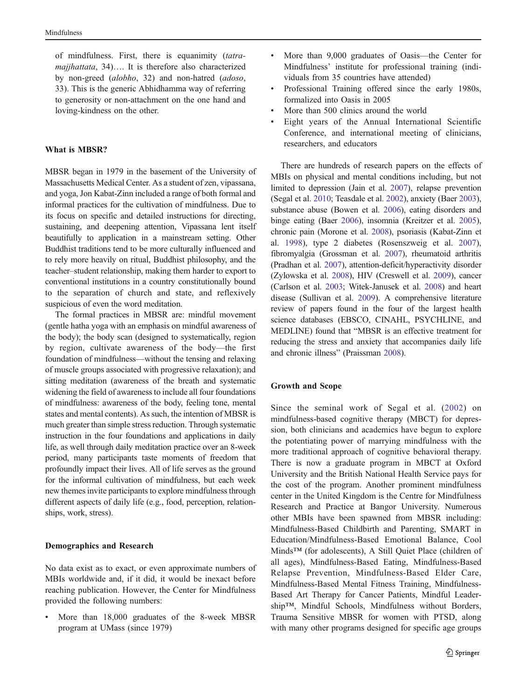of mindfulness. First, there is equanimity (tatramajjhattata, 34)…. It is therefore also characterized by non-greed (alobho, 32) and non-hatred (adoso, 33). This is the generic Abhidhamma way of referring to generosity or non-attachment on the one hand and loving-kindness on the other.

# What is MBSR?

MBSR began in 1979 in the basement of the University of Massachusetts Medical Center. As a student of zen, vipassana, and yoga, Jon Kabat-Zinn included a range of both formal and informal practices for the cultivation of mindfulness. Due to its focus on specific and detailed instructions for directing, sustaining, and deepening attention, Vipassana lent itself beautifully to application in a mainstream setting. Other Buddhist traditions tend to be more culturally influenced and to rely more heavily on ritual, Buddhist philosophy, and the teacher–student relationship, making them harder to export to conventional institutions in a country constitutionally bound to the separation of church and state, and reflexively suspicious of even the word meditation.

The formal practices in MBSR are: mindful movement (gentle hatha yoga with an emphasis on mindful awareness of the body); the body scan (designed to systematically, region by region, cultivate awareness of the body—the first foundation of mindfulness—without the tensing and relaxing of muscle groups associated with progressive relaxation); and sitting meditation (awareness of the breath and systematic widening the field of awareness to include all four foundations of mindfulness: awareness of the body, feeling tone, mental states and mental contents). As such, the intention of MBSR is much greater than simple stress reduction. Through systematic instruction in the four foundations and applications in daily life, as well through daily meditation practice over an 8-week period, many participants taste moments of freedom that profoundly impact their lives. All of life serves as the ground for the informal cultivation of mindfulness, but each week new themes invite participants to explore mindfulness through different aspects of daily life (e.g., food, perception, relationships, work, stress).

#### Demographics and Research

No data exist as to exact, or even approximate numbers of MBIs worldwide and, if it did, it would be inexact before reaching publication. However, the Center for Mindfulness provided the following numbers:

More than 18,000 graduates of the 8-week MBSR program at UMass (since 1979)

- More than 9,000 graduates of Oasis—the Center for Mindfulness' institute for professional training (individuals from 35 countries have attended)
- Professional Training offered since the early 1980s, formalized into Oasis in 2005
- More than 500 clinics around the world
- Eight years of the Annual International Scientific Conference, and international meeting of clinicians, researchers, and educators

There are hundreds of research papers on the effects of MBIs on physical and mental conditions including, but not limited to depression (Jain et al. [2007\)](#page-7-0), relapse prevention (Segal et al. [2010](#page-7-0); Teasdale et al. [2002](#page-7-0)), anxiety (Baer [2003\)](#page-6-0), substance abuse (Bowen et al. [2006](#page-6-0)), eating disorders and binge eating (Baer [2006](#page-6-0)), insomnia (Kreitzer et al. [2005\)](#page-7-0), chronic pain (Morone et al. [2008\)](#page-7-0), psoriasis (Kabat-Zinn et al. [1998\)](#page-7-0), type 2 diabetes (Rosenszweig et al. [2007\)](#page-7-0), fibromyalgia (Grossman et al. [2007\)](#page-7-0), rheumatoid arthritis (Pradhan et al. [2007](#page-7-0)), attention-deficit/hyperactivity disorder (Zylowska et al. [2008\)](#page-7-0), HIV (Creswell et al. [2009\)](#page-6-0), cancer (Carlson et al. [2003](#page-6-0); Witek-Janusek et al. [2008\)](#page-7-0) and heart disease (Sullivan et al. [2009](#page-7-0)). A comprehensive literature review of papers found in the four of the largest health science databases (EBSCO, CINAHL, PSYCHLINE, and MEDLINE) found that "MBSR is an effective treatment for reducing the stress and anxiety that accompanies daily life and chronic illness" (Praissman [2008](#page-7-0)).

#### Growth and Scope

Since the seminal work of Segal et al. ([2002\)](#page-7-0) on mindfulness-based cognitive therapy (MBCT) for depression, both clinicians and academics have begun to explore the potentiating power of marrying mindfulness with the more traditional approach of cognitive behavioral therapy. There is now a graduate program in MBCT at Oxford University and the British National Health Service pays for the cost of the program. Another prominent mindfulness center in the United Kingdom is the Centre for Mindfulness Research and Practice at Bangor University. Numerous other MBIs have been spawned from MBSR including: Mindfulness-Based Childbirth and Parenting, SMART in Education/Mindfulness-Based Emotional Balance, Cool Minds™ (for adolescents), A Still Quiet Place (children of all ages), Mindfulness-Based Eating, Mindfulness-Based Relapse Prevention, Mindfulness-Based Elder Care, Mindfulness-Based Mental Fitness Training, Mindfulness-Based Art Therapy for Cancer Patients, Mindful Leadership™, Mindful Schools, Mindfulness without Borders, Trauma Sensitive MBSR for women with PTSD, along with many other programs designed for specific age groups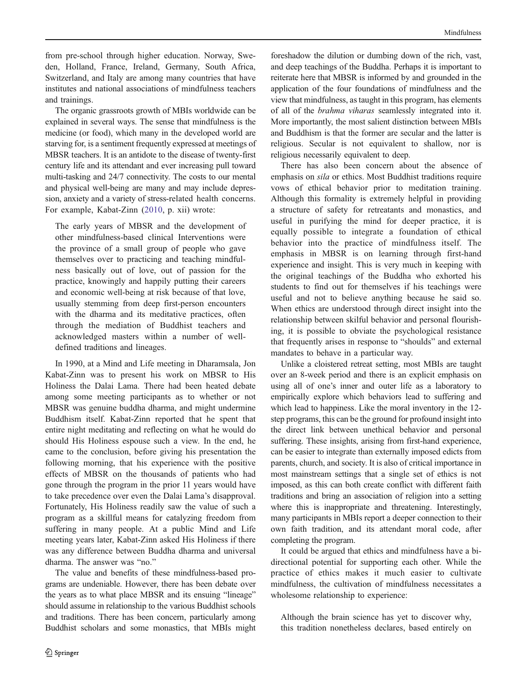from pre-school through higher education. Norway, Sweden, Holland, France, Ireland, Germany, South Africa, Switzerland, and Italy are among many countries that have institutes and national associations of mindfulness teachers and trainings.

The organic grassroots growth of MBIs worldwide can be explained in several ways. The sense that mindfulness is the medicine (or food), which many in the developed world are starving for, is a sentiment frequently expressed at meetings of MBSR teachers. It is an antidote to the disease of twenty-first century life and its attendant and ever increasing pull toward multi-tasking and 24/7 connectivity. The costs to our mental and physical well-being are many and may include depression, anxiety and a variety of stress-related health concerns. For example, Kabat-Zinn [\(2010,](#page-7-0) p. xii) wrote:

The early years of MBSR and the development of other mindfulness-based clinical Interventions were the province of a small group of people who gave themselves over to practicing and teaching mindfulness basically out of love, out of passion for the practice, knowingly and happily putting their careers and economic well-being at risk because of that love, usually stemming from deep first-person encounters with the dharma and its meditative practices, often through the mediation of Buddhist teachers and acknowledged masters within a number of welldefined traditions and lineages.

In 1990, at a Mind and Life meeting in Dharamsala, Jon Kabat-Zinn was to present his work on MBSR to His Holiness the Dalai Lama. There had been heated debate among some meeting participants as to whether or not MBSR was genuine buddha dharma, and might undermine Buddhism itself. Kabat-Zinn reported that he spent that entire night meditating and reflecting on what he would do should His Holiness espouse such a view. In the end, he came to the conclusion, before giving his presentation the following morning, that his experience with the positive effects of MBSR on the thousands of patients who had gone through the program in the prior 11 years would have to take precedence over even the Dalai Lama's disapproval. Fortunately, His Holiness readily saw the value of such a program as a skillful means for catalyzing freedom from suffering in many people. At a public Mind and Life meeting years later, Kabat-Zinn asked His Holiness if there was any difference between Buddha dharma and universal dharma. The answer was "no."

The value and benefits of these mindfulness-based programs are undeniable. However, there has been debate over the years as to what place MBSR and its ensuing "lineage" should assume in relationship to the various Buddhist schools and traditions. There has been concern, particularly among Buddhist scholars and some monastics, that MBIs might

foreshadow the dilution or dumbing down of the rich, vast, and deep teachings of the Buddha. Perhaps it is important to reiterate here that MBSR is informed by and grounded in the application of the four foundations of mindfulness and the view that mindfulness, as taught in this program, has elements of all of the brahma viharas seamlessly integrated into it. More importantly, the most salient distinction between MBIs and Buddhism is that the former are secular and the latter is religious. Secular is not equivalent to shallow, nor is religious necessarily equivalent to deep.

There has also been concern about the absence of emphasis on sila or ethics. Most Buddhist traditions require vows of ethical behavior prior to meditation training. Although this formality is extremely helpful in providing a structure of safety for retreatants and monastics, and useful in purifying the mind for deeper practice, it is equally possible to integrate a foundation of ethical behavior into the practice of mindfulness itself. The emphasis in MBSR is on learning through first-hand experience and insight. This is very much in keeping with the original teachings of the Buddha who exhorted his students to find out for themselves if his teachings were useful and not to believe anything because he said so. When ethics are understood through direct insight into the relationship between skilful behavior and personal flourishing, it is possible to obviate the psychological resistance that frequently arises in response to "shoulds" and external mandates to behave in a particular way.

Unlike a cloistered retreat setting, most MBIs are taught over an 8-week period and there is an explicit emphasis on using all of one's inner and outer life as a laboratory to empirically explore which behaviors lead to suffering and which lead to happiness. Like the moral inventory in the 12 step programs, this can be the ground for profound insight into the direct link between unethical behavior and personal suffering. These insights, arising from first-hand experience, can be easier to integrate than externally imposed edicts from parents, church, and society. It is also of critical importance in most mainstream settings that a single set of ethics is not imposed, as this can both create conflict with different faith traditions and bring an association of religion into a setting where this is inappropriate and threatening. Interestingly, many participants in MBIs report a deeper connection to their own faith tradition, and its attendant moral code, after completing the program.

It could be argued that ethics and mindfulness have a bidirectional potential for supporting each other. While the practice of ethics makes it much easier to cultivate mindfulness, the cultivation of mindfulness necessitates a wholesome relationship to experience:

Although the brain science has yet to discover why, this tradition nonetheless declares, based entirely on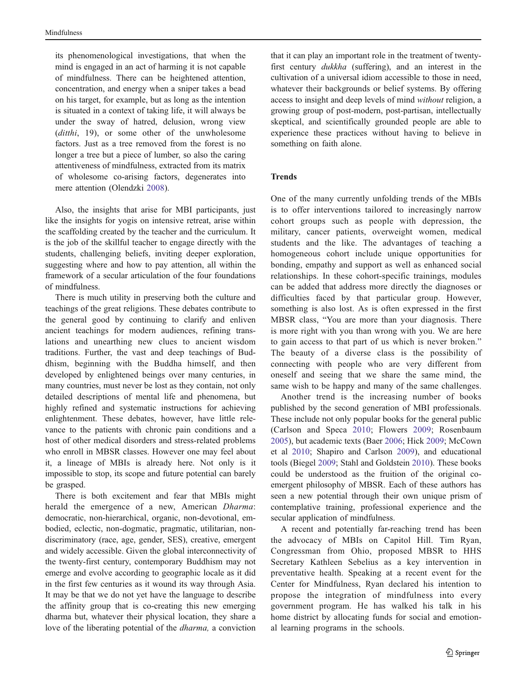its phenomenological investigations, that when the mind is engaged in an act of harming it is not capable of mindfulness. There can be heightened attention, concentration, and energy when a sniper takes a bead on his target, for example, but as long as the intention is situated in a context of taking life, it will always be under the sway of hatred, delusion, wrong view (ditthi, 19), or some other of the unwholesome factors. Just as a tree removed from the forest is no longer a tree but a piece of lumber, so also the caring attentiveness of mindfulness, extracted from its matrix of wholesome co-arising factors, degenerates into mere attention (Olendzki [2008\)](#page-7-0).

Also, the insights that arise for MBI participants, just like the insights for yogis on intensive retreat, arise within the scaffolding created by the teacher and the curriculum. It is the job of the skillful teacher to engage directly with the students, challenging beliefs, inviting deeper exploration, suggesting where and how to pay attention, all within the framework of a secular articulation of the four foundations of mindfulness.

There is much utility in preserving both the culture and teachings of the great religions. These debates contribute to the general good by continuing to clarify and enliven ancient teachings for modern audiences, refining translations and unearthing new clues to ancient wisdom traditions. Further, the vast and deep teachings of Buddhism, beginning with the Buddha himself, and then developed by enlightened beings over many centuries, in many countries, must never be lost as they contain, not only detailed descriptions of mental life and phenomena, but highly refined and systematic instructions for achieving enlightenment. These debates, however, have little relevance to the patients with chronic pain conditions and a host of other medical disorders and stress-related problems who enroll in MBSR classes. However one may feel about it, a lineage of MBIs is already here. Not only is it impossible to stop, its scope and future potential can barely be grasped.

There is both excitement and fear that MBIs might herald the emergence of a new, American Dharma: democratic, non-hierarchical, organic, non-devotional, embodied, eclectic, non-dogmatic, pragmatic, utilitarian, nondiscriminatory (race, age, gender, SES), creative, emergent and widely accessible. Given the global interconnectivity of the twenty-first century, contemporary Buddhism may not emerge and evolve according to geographic locale as it did in the first few centuries as it wound its way through Asia. It may be that we do not yet have the language to describe the affinity group that is co-creating this new emerging dharma but, whatever their physical location, they share a love of the liberating potential of the dharma, a conviction

that it can play an important role in the treatment of twentyfirst century dukkha (suffering), and an interest in the cultivation of a universal idiom accessible to those in need, whatever their backgrounds or belief systems. By offering access to insight and deep levels of mind without religion, a growing group of post-modern, post-partisan, intellectually skeptical, and scientifically grounded people are able to experience these practices without having to believe in something on faith alone.

### **Trends**

One of the many currently unfolding trends of the MBIs is to offer interventions tailored to increasingly narrow cohort groups such as people with depression, the military, cancer patients, overweight women, medical students and the like. The advantages of teaching a homogeneous cohort include unique opportunities for bonding, empathy and support as well as enhanced social relationships. In these cohort-specific trainings, modules can be added that address more directly the diagnoses or difficulties faced by that particular group. However, something is also lost. As is often expressed in the first MBSR class, "You are more than your diagnosis. There is more right with you than wrong with you. We are here to gain access to that part of us which is never broken." The beauty of a diverse class is the possibility of connecting with people who are very different from oneself and seeing that we share the same mind, the same wish to be happy and many of the same challenges.

Another trend is the increasing number of books published by the second generation of MBI professionals. These include not only popular books for the general public (Carlson and Speca [2010](#page-6-0); Flowers [2009](#page-7-0); Rosenbaum [2005](#page-7-0)), but academic texts (Baer [2006;](#page-6-0) Hick [2009;](#page-7-0) McCown et al [2010](#page-7-0); Shapiro and Carlson [2009\)](#page-7-0), and educational tools (Biegel [2009;](#page-6-0) Stahl and Goldstein [2010\)](#page-7-0). These books could be understood as the fruition of the original coemergent philosophy of MBSR. Each of these authors has seen a new potential through their own unique prism of contemplative training, professional experience and the secular application of mindfulness.

A recent and potentially far-reaching trend has been the advocacy of MBIs on Capitol Hill. Tim Ryan, Congressman from Ohio, proposed MBSR to HHS Secretary Kathleen Sebelius as a key intervention in preventative health. Speaking at a recent event for the Center for Mindfulness, Ryan declared his intention to propose the integration of mindfulness into every government program. He has walked his talk in his home district by allocating funds for social and emotional learning programs in the schools.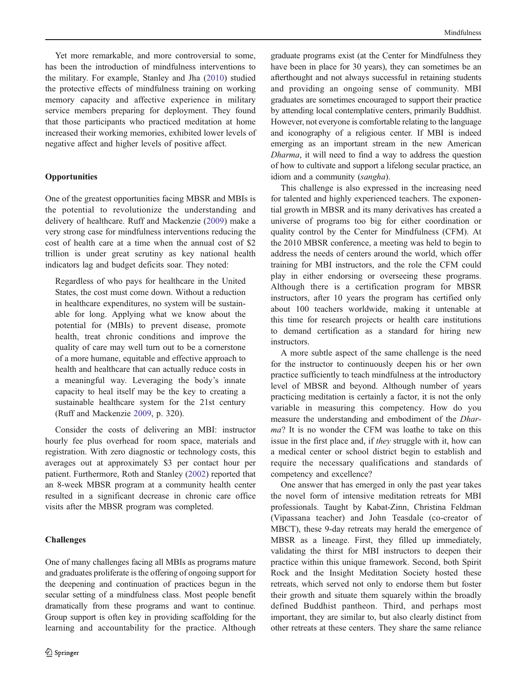Yet more remarkable, and more controversial to some, has been the introduction of mindfulness interventions to the military. For example, Stanley and Jha [\(2010](#page-7-0)) studied the protective effects of mindfulness training on working memory capacity and affective experience in military service members preparing for deployment. They found that those participants who practiced meditation at home increased their working memories, exhibited lower levels of negative affect and higher levels of positive affect.

### **Opportunities**

One of the greatest opportunities facing MBSR and MBIs is the potential to revolutionize the understanding and delivery of healthcare. Ruff and Mackenzie [\(2009](#page-7-0)) make a very strong case for mindfulness interventions reducing the cost of health care at a time when the annual cost of \$2 trillion is under great scrutiny as key national health indicators lag and budget deficits soar. They noted:

Regardless of who pays for healthcare in the United States, the cost must come down. Without a reduction in healthcare expenditures, no system will be sustainable for long. Applying what we know about the potential for (MBIs) to prevent disease, promote health, treat chronic conditions and improve the quality of care may well turn out to be a cornerstone of a more humane, equitable and effective approach to health and healthcare that can actually reduce costs in a meaningful way. Leveraging the body's innate capacity to heal itself may be the key to creating a sustainable healthcare system for the 21st century (Ruff and Mackenzie [2009](#page-7-0), p. 320).

Consider the costs of delivering an MBI: instructor hourly fee plus overhead for room space, materials and registration. With zero diagnostic or technology costs, this averages out at approximately \$3 per contact hour per patient. Furthermore, Roth and Stanley ([2002\)](#page-7-0) reported that an 8-week MBSR program at a community health center resulted in a significant decrease in chronic care office visits after the MBSR program was completed.

#### Challenges

One of many challenges facing all MBIs as programs mature and graduates proliferate is the offering of ongoing support for the deepening and continuation of practices begun in the secular setting of a mindfulness class. Most people benefit dramatically from these programs and want to continue. Group support is often key in providing scaffolding for the learning and accountability for the practice. Although graduate programs exist (at the Center for Mindfulness they have been in place for 30 years), they can sometimes be an afterthought and not always successful in retaining students and providing an ongoing sense of community. MBI graduates are sometimes encouraged to support their practice by attending local contemplative centers, primarily Buddhist. However, not everyone is comfortable relating to the language and iconography of a religious center. If MBI is indeed emerging as an important stream in the new American Dharma, it will need to find a way to address the question of how to cultivate and support a lifelong secular practice, an idiom and a community (sangha).

This challenge is also expressed in the increasing need for talented and highly experienced teachers. The exponential growth in MBSR and its many derivatives has created a universe of programs too big for either coordination or quality control by the Center for Mindfulness (CFM). At the 2010 MBSR conference, a meeting was held to begin to address the needs of centers around the world, which offer training for MBI instructors, and the role the CFM could play in either endorsing or overseeing these programs. Although there is a certification program for MBSR instructors, after 10 years the program has certified only about 100 teachers worldwide, making it untenable at this time for research projects or health care institutions to demand certification as a standard for hiring new instructors.

A more subtle aspect of the same challenge is the need for the instructor to continuously deepen his or her own practice sufficiently to teach mindfulness at the introductory level of MBSR and beyond. Although number of years practicing meditation is certainly a factor, it is not the only variable in measuring this competency. How do you measure the understanding and embodiment of the Dharma? It is no wonder the CFM was loathe to take on this issue in the first place and, if they struggle with it, how can a medical center or school district begin to establish and require the necessary qualifications and standards of competency and excellence?

One answer that has emerged in only the past year takes the novel form of intensive meditation retreats for MBI professionals. Taught by Kabat-Zinn, Christina Feldman (Vipassana teacher) and John Teasdale (co-creator of MBCT), these 9-day retreats may herald the emergence of MBSR as a lineage. First, they filled up immediately, validating the thirst for MBI instructors to deepen their practice within this unique framework. Second, both Spirit Rock and the Insight Meditation Society hosted these retreats, which served not only to endorse them but foster their growth and situate them squarely within the broadly defined Buddhist pantheon. Third, and perhaps most important, they are similar to, but also clearly distinct from other retreats at these centers. They share the same reliance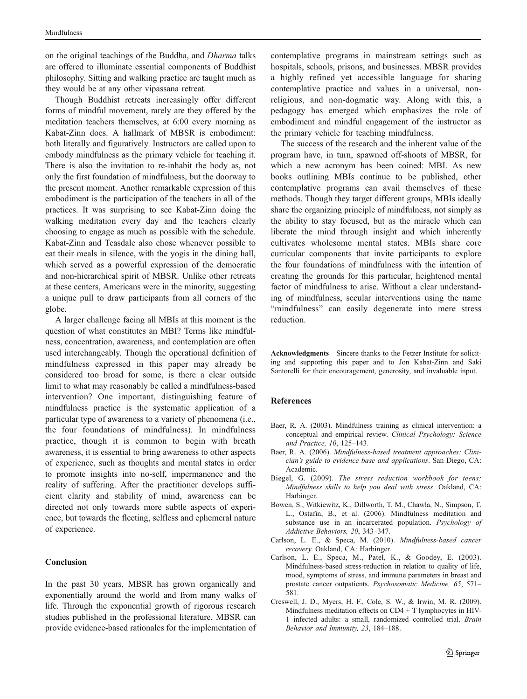<span id="page-6-0"></span>on the original teachings of the Buddha, and Dharma talks are offered to illuminate essential components of Buddhist philosophy. Sitting and walking practice are taught much as they would be at any other vipassana retreat.

Though Buddhist retreats increasingly offer different forms of mindful movement, rarely are they offered by the meditation teachers themselves, at 6:00 every morning as Kabat-Zinn does. A hallmark of MBSR is embodiment: both literally and figuratively. Instructors are called upon to embody mindfulness as the primary vehicle for teaching it. There is also the invitation to re-inhabit the body as, not only the first foundation of mindfulness, but the doorway to the present moment. Another remarkable expression of this embodiment is the participation of the teachers in all of the practices. It was surprising to see Kabat-Zinn doing the walking meditation every day and the teachers clearly choosing to engage as much as possible with the schedule. Kabat-Zinn and Teasdale also chose whenever possible to eat their meals in silence, with the yogis in the dining hall, which served as a powerful expression of the democratic and non-hierarchical spirit of MBSR. Unlike other retreats at these centers, Americans were in the minority, suggesting a unique pull to draw participants from all corners of the globe.

A larger challenge facing all MBIs at this moment is the question of what constitutes an MBI? Terms like mindfulness, concentration, awareness, and contemplation are often used interchangeably. Though the operational definition of mindfulness expressed in this paper may already be considered too broad for some, is there a clear outside limit to what may reasonably be called a mindfulness-based intervention? One important, distinguishing feature of mindfulness practice is the systematic application of a particular type of awareness to a variety of phenomena (i.e., the four foundations of mindfulness). In mindfulness practice, though it is common to begin with breath awareness, it is essential to bring awareness to other aspects of experience, such as thoughts and mental states in order to promote insights into no-self, impermanence and the reality of suffering. After the practitioner develops sufficient clarity and stability of mind, awareness can be directed not only towards more subtle aspects of experience, but towards the fleeting, selfless and ephemeral nature of experience.

## Conclusion

In the past 30 years, MBSR has grown organically and exponentially around the world and from many walks of life. Through the exponential growth of rigorous research studies published in the professional literature, MBSR can provide evidence-based rationales for the implementation of contemplative programs in mainstream settings such as hospitals, schools, prisons, and businesses. MBSR provides a highly refined yet accessible language for sharing contemplative practice and values in a universal, nonreligious, and non-dogmatic way. Along with this, a pedagogy has emerged which emphasizes the role of embodiment and mindful engagement of the instructor as the primary vehicle for teaching mindfulness.

The success of the research and the inherent value of the program have, in turn, spawned off-shoots of MBSR, for which a new acronym has been coined: MBI. As new books outlining MBIs continue to be published, other contemplative programs can avail themselves of these methods. Though they target different groups, MBIs ideally share the organizing principle of mindfulness, not simply as the ability to stay focused, but as the miracle which can liberate the mind through insight and which inherently cultivates wholesome mental states. MBIs share core curricular components that invite participants to explore the four foundations of mindfulness with the intention of creating the grounds for this particular, heightened mental factor of mindfulness to arise. Without a clear understanding of mindfulness, secular interventions using the name "mindfulness" can easily degenerate into mere stress reduction.

Acknowledgments Sincere thanks to the Fetzer Institute for soliciting and supporting this paper and to Jon Kabat-Zinn and Saki Santorelli for their encouragement, generosity, and invaluable input.

#### References

- Baer, R. A. (2003). Mindfulness training as clinical intervention: a conceptual and empirical review. Clinical Psychology: Science and Practice, 10, 125–143.
- Baer, R. A. (2006). Mindfulness-based treatment approaches: Clinician's guide to evidence base and applications. San Diego, CA: Academic.
- Biegel, G. (2009). The stress reduction workbook for teens: Mindfulness skills to help you deal with stress. Oakland, CA: Harbinger.
- Bowen, S., Witkiewitz, K., Dillworth, T. M., Chawla, N., Simpson, T. L., Ostafin, B., et al. (2006). Mindfulness meditation and substance use in an incarcerated population. Psychology of Addictive Behaviors, 20, 343–347.
- Carlson, L. E., & Speca, M. (2010). Mindfulness-based cancer recovery. Oakland, CA: Harbinger.
- Carlson, L. E., Speca, M., Patel, K., & Goodey, E. (2003). Mindfulness-based stress-reduction in relation to quality of life, mood, symptoms of stress, and immune parameters in breast and prostate cancer outpatients. Psychosomatic Medicine, 65, 571– 581.
- Creswell, J. D., Myers, H. F., Cole, S. W., & Irwin, M. R. (2009). Mindfulness meditation effects on  $CD4 + T$  lymphocytes in HIV-1 infected adults: a small, randomized controlled trial. Brain Behavior and Immunity, 23, 184–188.